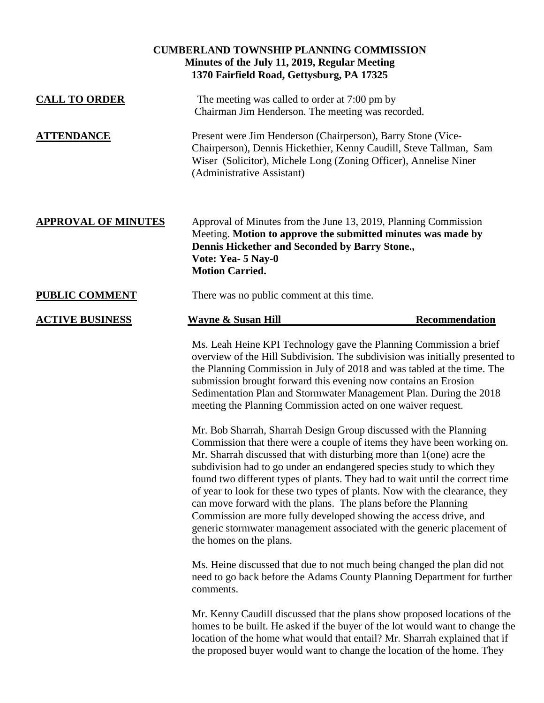| <b>CUMBERLAND TOWNSHIP PLANNING COMMISSION</b><br>Minutes of the July 11, 2019, Regular Meeting<br>1370 Fairfield Road, Gettysburg, PA 17325 |                                                                                                                                                                                                                                                                                                                                                                                      |                                                                                                                                                                                                                                                                                                                  |
|----------------------------------------------------------------------------------------------------------------------------------------------|--------------------------------------------------------------------------------------------------------------------------------------------------------------------------------------------------------------------------------------------------------------------------------------------------------------------------------------------------------------------------------------|------------------------------------------------------------------------------------------------------------------------------------------------------------------------------------------------------------------------------------------------------------------------------------------------------------------|
| <b>CALL TO ORDER</b>                                                                                                                         | The meeting was called to order at 7:00 pm by<br>Chairman Jim Henderson. The meeting was recorded.                                                                                                                                                                                                                                                                                   |                                                                                                                                                                                                                                                                                                                  |
| <b>ATTENDANCE</b>                                                                                                                            | Present were Jim Henderson (Chairperson), Barry Stone (Vice-<br>Chairperson), Dennis Hickethier, Kenny Caudill, Steve Tallman, Sam<br>Wiser (Solicitor), Michele Long (Zoning Officer), Annelise Niner<br>(Administrative Assistant)                                                                                                                                                 |                                                                                                                                                                                                                                                                                                                  |
| <b>APPROVAL OF MINUTES</b>                                                                                                                   | Approval of Minutes from the June 13, 2019, Planning Commission<br>Meeting. Motion to approve the submitted minutes was made by<br>Dennis Hickether and Seconded by Barry Stone.,<br>Vote: Yea- 5 Nay-0<br><b>Motion Carried.</b>                                                                                                                                                    |                                                                                                                                                                                                                                                                                                                  |
| <b>PUBLIC COMMENT</b>                                                                                                                        | There was no public comment at this time.                                                                                                                                                                                                                                                                                                                                            |                                                                                                                                                                                                                                                                                                                  |
| <b>ACTIVE BUSINESS</b>                                                                                                                       | <b>Wayne &amp; Susan Hill</b>                                                                                                                                                                                                                                                                                                                                                        | Recommendation                                                                                                                                                                                                                                                                                                   |
|                                                                                                                                              | Ms. Leah Heine KPI Technology gave the Planning Commission a brief<br>the Planning Commission in July of 2018 and was tabled at the time. The<br>submission brought forward this evening now contains an Erosion<br>Sedimentation Plan and Stormwater Management Plan. During the 2018<br>meeting the Planning Commission acted on one waiver request.                               | overview of the Hill Subdivision. The subdivision was initially presented to                                                                                                                                                                                                                                     |
|                                                                                                                                              | Mr. Bob Sharrah, Sharrah Design Group discussed with the Planning<br>Mr. Sharrah discussed that with disturbing more than 1(one) acre the<br>subdivision had to go under an endangered species study to which they<br>can move forward with the plans. The plans before the Planning<br>Commission are more fully developed showing the access drive, and<br>the homes on the plans. | Commission that there were a couple of items they have been working on.<br>found two different types of plants. They had to wait until the correct time<br>of year to look for these two types of plants. Now with the clearance, they<br>generic stormwater management associated with the generic placement of |
|                                                                                                                                              | Ms. Heine discussed that due to not much being changed the plan did not<br>comments.                                                                                                                                                                                                                                                                                                 | need to go back before the Adams County Planning Department for further                                                                                                                                                                                                                                          |
|                                                                                                                                              | the proposed buyer would want to change the location of the home. They                                                                                                                                                                                                                                                                                                               | Mr. Kenny Caudill discussed that the plans show proposed locations of the<br>homes to be built. He asked if the buyer of the lot would want to change the<br>location of the home what would that entail? Mr. Sharrah explained that if                                                                          |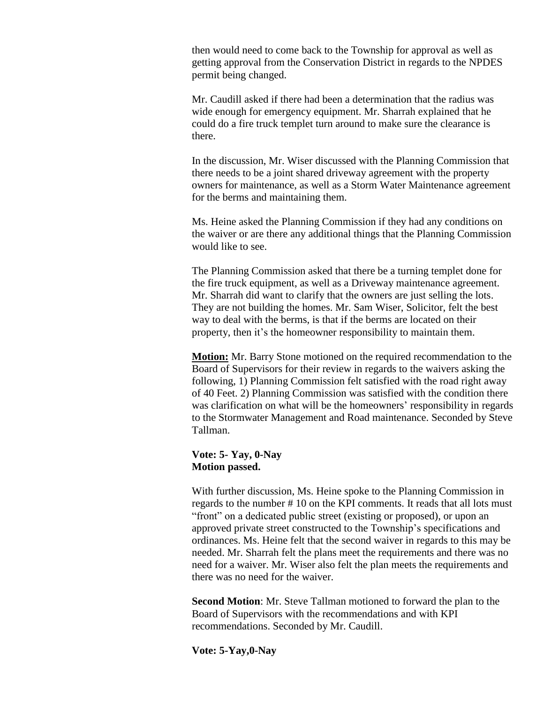then would need to come back to the Township for approval as well as getting approval from the Conservation District in regards to the NPDES permit being changed.

Mr. Caudill asked if there had been a determination that the radius was wide enough for emergency equipment. Mr. Sharrah explained that he could do a fire truck templet turn around to make sure the clearance is there.

In the discussion, Mr. Wiser discussed with the Planning Commission that there needs to be a joint shared driveway agreement with the property owners for maintenance, as well as a Storm Water Maintenance agreement for the berms and maintaining them.

Ms. Heine asked the Planning Commission if they had any conditions on the waiver or are there any additional things that the Planning Commission would like to see.

The Planning Commission asked that there be a turning templet done for the fire truck equipment, as well as a Driveway maintenance agreement. Mr. Sharrah did want to clarify that the owners are just selling the lots. They are not building the homes. Mr. Sam Wiser, Solicitor, felt the best way to deal with the berms, is that if the berms are located on their property, then it's the homeowner responsibility to maintain them.

**Motion:** Mr. Barry Stone motioned on the required recommendation to the Board of Supervisors for their review in regards to the waivers asking the following, 1) Planning Commission felt satisfied with the road right away of 40 Feet. 2) Planning Commission was satisfied with the condition there was clarification on what will be the homeowners' responsibility in regards to the Stormwater Management and Road maintenance. Seconded by Steve Tallman.

#### **Vote: 5- Yay, 0-Nay Motion passed.**

With further discussion, Ms. Heine spoke to the Planning Commission in regards to the number # 10 on the KPI comments. It reads that all lots must "front" on a dedicated public street (existing or proposed), or upon an approved private street constructed to the Township's specifications and ordinances. Ms. Heine felt that the second waiver in regards to this may be needed. Mr. Sharrah felt the plans meet the requirements and there was no need for a waiver. Mr. Wiser also felt the plan meets the requirements and there was no need for the waiver.

**Second Motion**: Mr. Steve Tallman motioned to forward the plan to the Board of Supervisors with the recommendations and with KPI recommendations. Seconded by Mr. Caudill.

**Vote: 5-Yay,0-Nay**